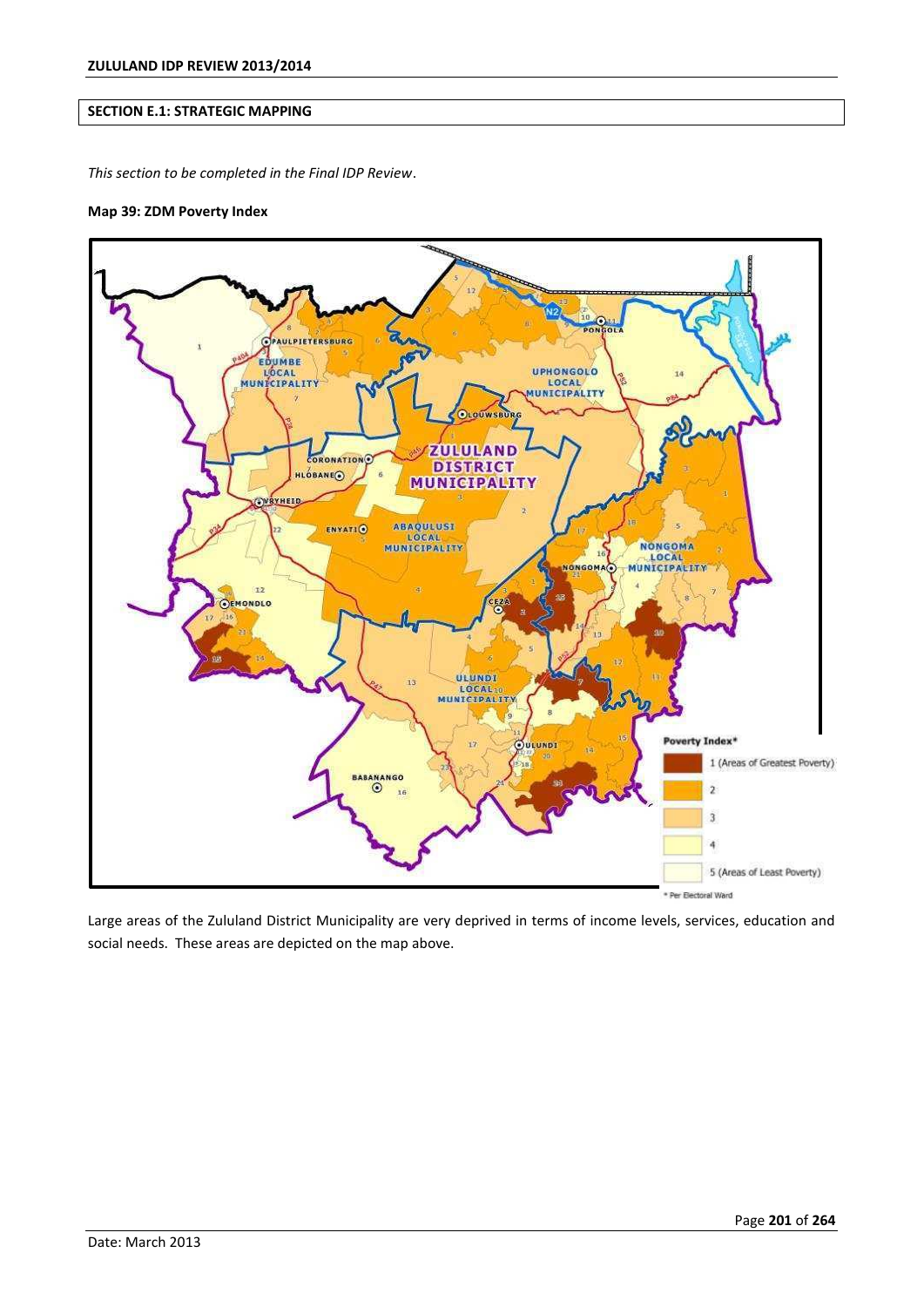# **SECTION E.1: STRATEGIC MAPPING**

*This section to be completed in the Final IDP Review*.

#### **Map 39: ZDM Poverty Index**



Large areas of the Zululand District Municipality are very deprived in terms of income levels, services, education and social needs. These areas are depicted on the map above.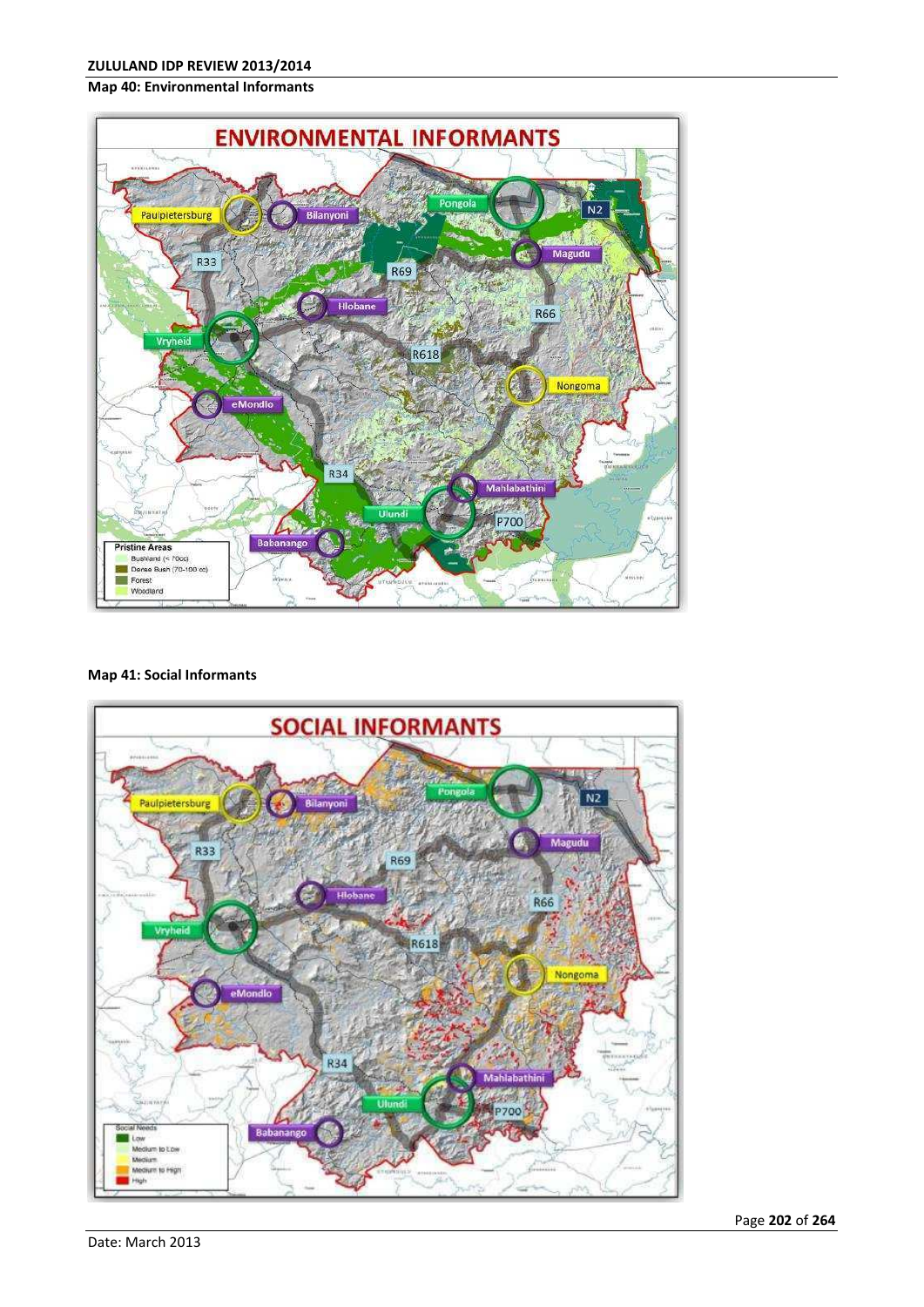## **Map 40: Environmental Informants**



## **Map 41: Social Informants**

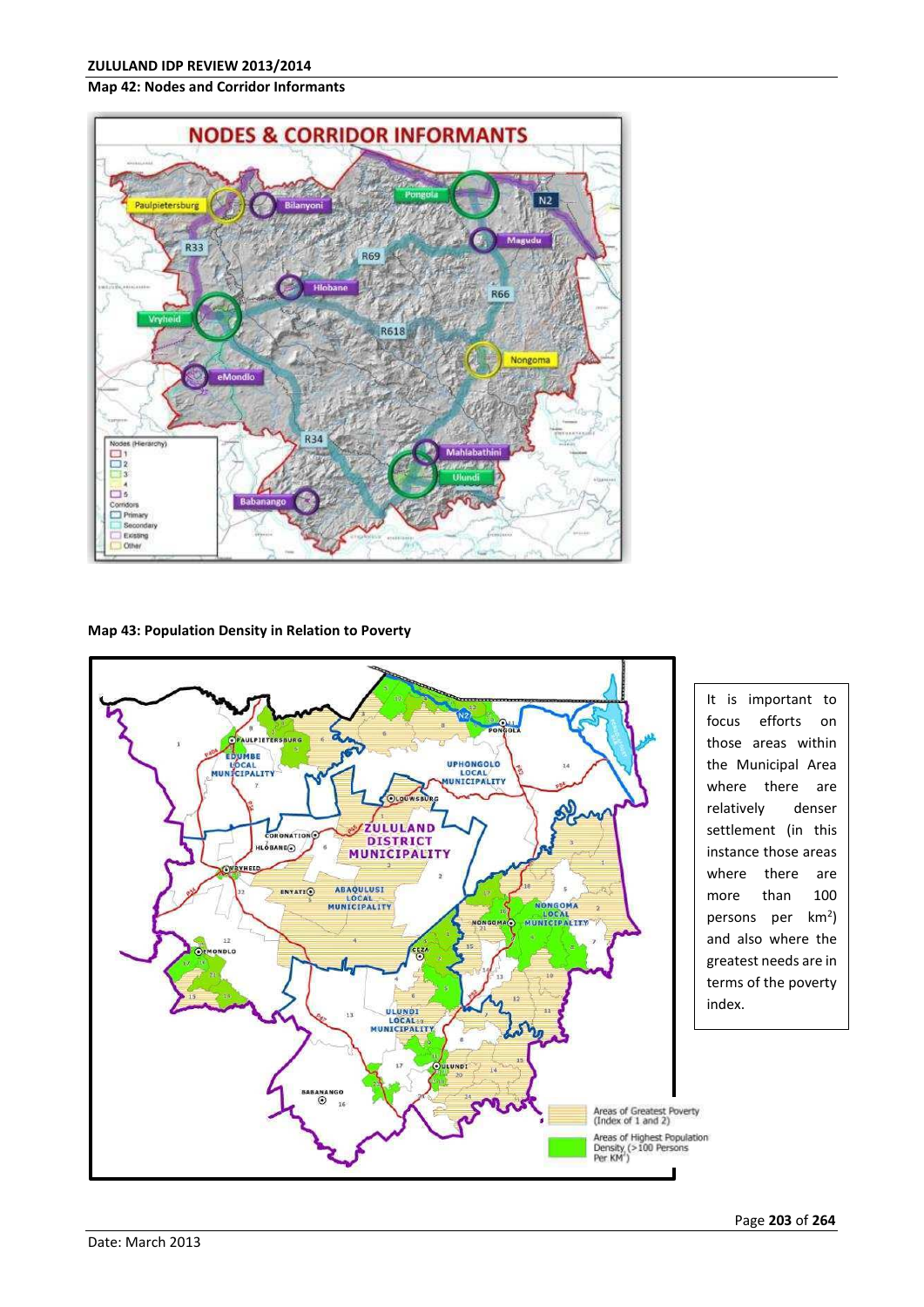### **Map 42: Nodes and Corridor Informants**



## **Map 43: Population Density in Relation to Poverty**



where there are relatively denser settlement (in this instance those areas where there are more than 100 persons per km<sup>2</sup>) and also where the greatest needs are in terms of the poverty index.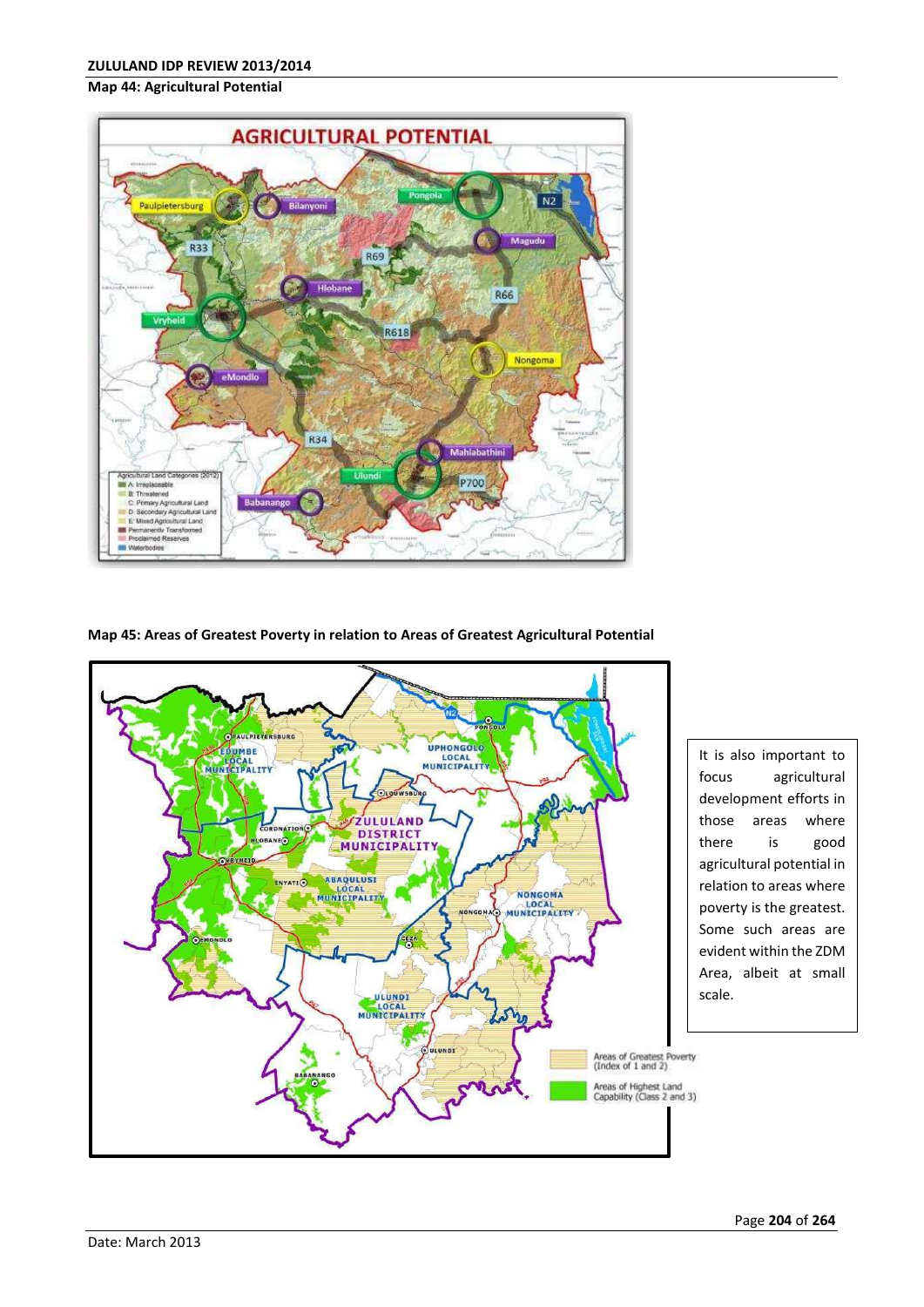#### **Map 44: Agricultural Potential**



### **Map 45: Areas of Greatest Poverty in relation to Areas of Greatest Agricultural Potential**



It is also important to focus agricultural development efforts in those areas where there is good agricultural potential in relation to areas where poverty is the greatest. Some such areas are evident within the ZDM Area, albeit at small scale.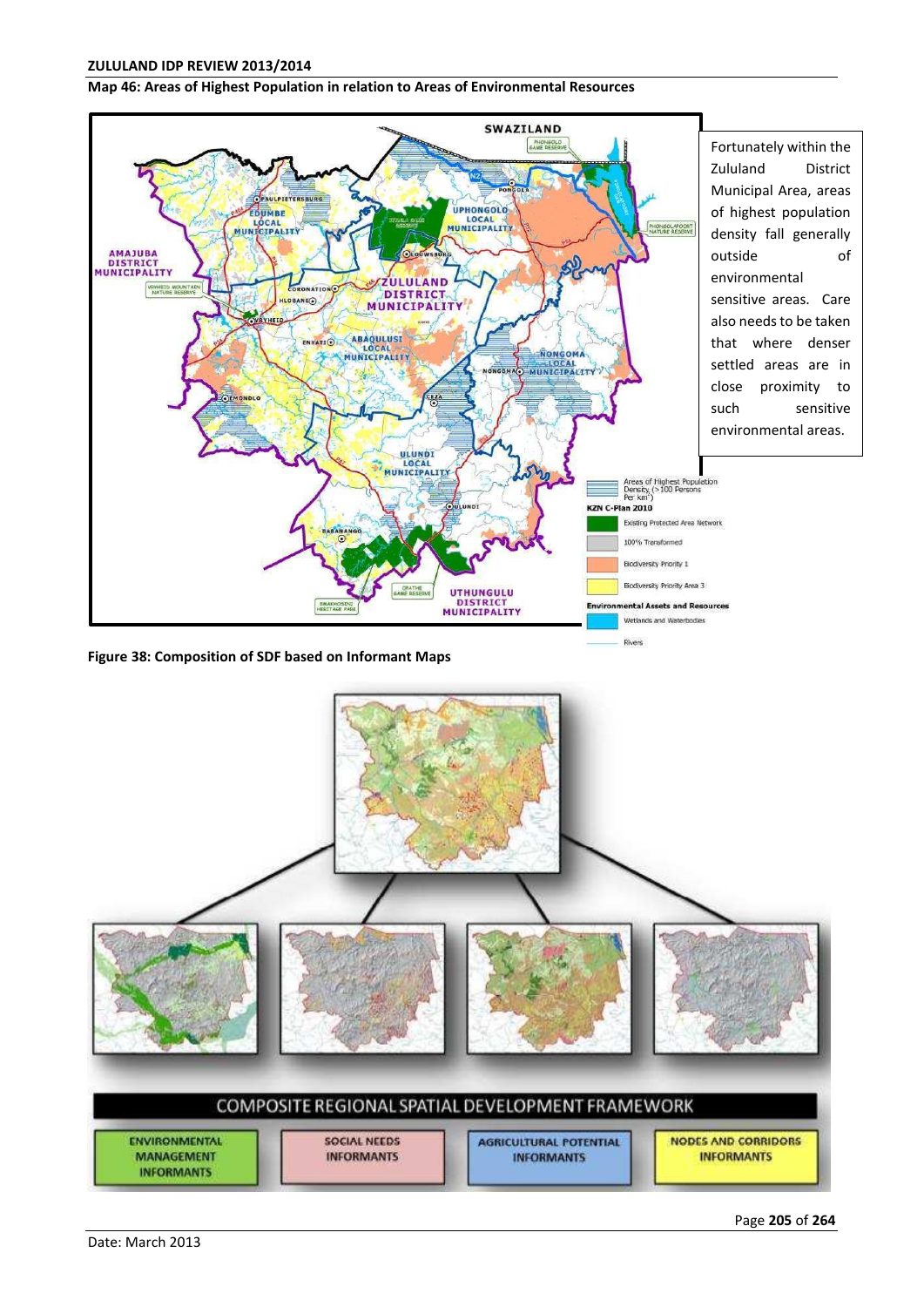## **ZULULAND IDP REVIEW 2013/2014**

#### **Map 46: Areas of Highest Population in relation to Areas of Environmental Resources**



**Figure 38: Composition of SDF based on Informant Maps**